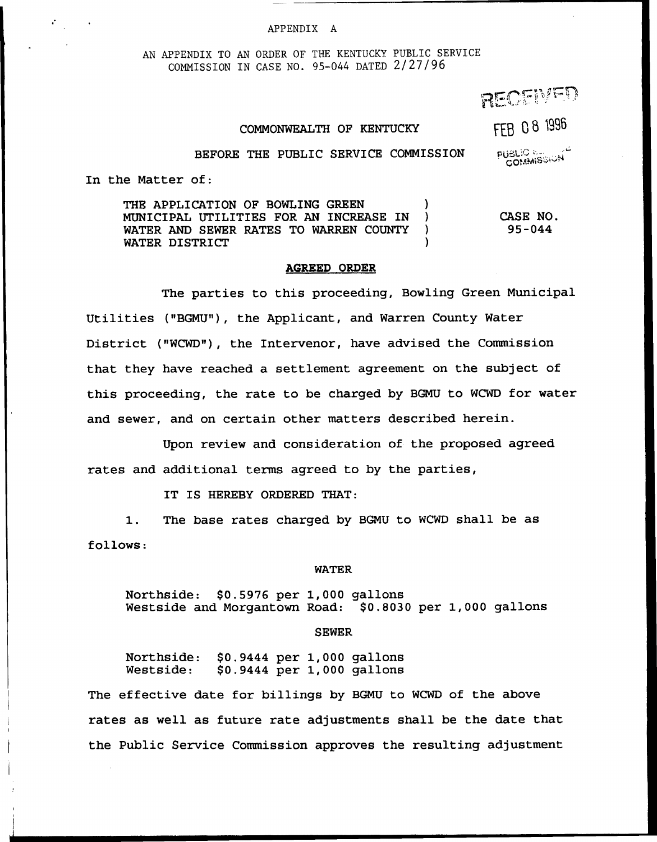#### APP ENDIX A

AN APPENDIX TO AN ORDER OF THE KENTUCKY PUBLIC SERVICE COMMISSION IN CASE NO. 95-044 DATED 2/27/96

RECEMED

## COMMONWEALTH OF KENTUCKY

FEB 08 1996

**PUBLIC & SIGN** 

### BEFORE THE PUBLIC SERVICE COMMISSION

In the Matter of:

THE APPLICATION OF BOWLING GREEN (3) MUNICIPAL UTILITIES FOR AN INCREASE IN ) WATER AND SEWER RATES TO WARREN COUNTY WATER DISTRICT CASE NO. 95-044

### AGREED ORDER

The parties to this proceeding, Bowling Green Municipal Utilities ("BGMU"), the Applicant, and Warren County Water District ("NCWD"), the Intervenor, have advised the Commission that they have reached a settlement agreement on the subject of this proceeding, the rate to be charged by BGMU to WCWD for water and sewer, and on certain other matters described herein.

Upon review and consideration of the proposed agreed rates and additional terms agreed to by the parties,

IT IS HEREBY ORDERED THAT:

1. The base rates charged by BGMU to WCWD shall be as follows:

#### WATER

Northside: \$0.5976 per 1,000 gallons Westside and Morgantown Road: \$0.8030 per 1,000 gallons

#### SEWER

Northside: \$0.9444 per 1,000 gallons \$0.9444 per 1,000 gallons

The effective date for billings by BGMU to WCWD of the above rates as well as future rate adjustments shall be the date that the Public Service Commission approves the resulting adjustment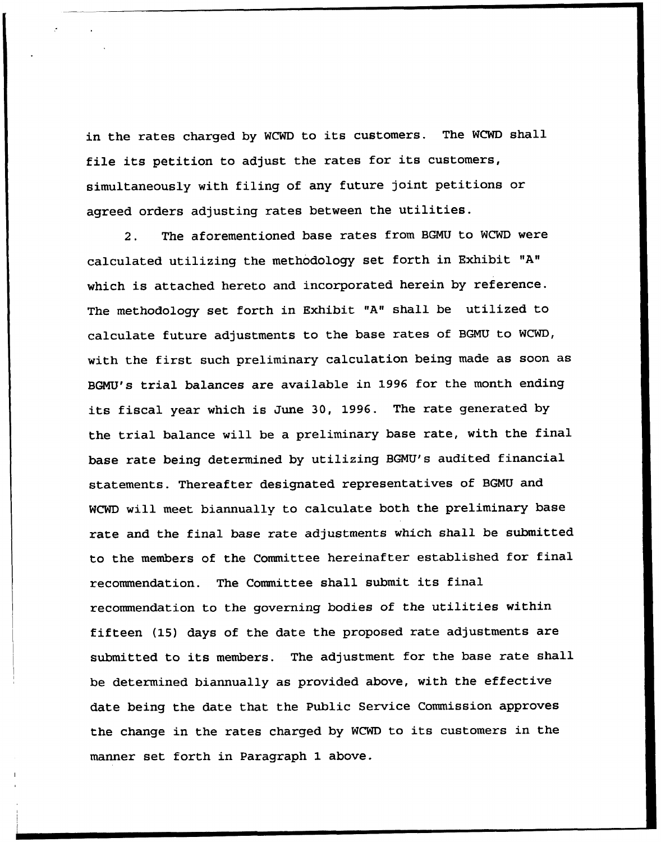in the rates charged by WCWD to its customers. The WCWD shall file its petition to adjust the rates for its customers, simultaneously with filing of any future joint petitions or agreed orders adjusting rates between the utilities.

2. The aforementioned base rates from BGMU to WCWD were calculated utilizing the methodology set forth in Exhibit "A" which is attached hereto and incorporated herein by reference. The methodology set forth in Exhibit "A" shall be utilized to calculate future adjustments to the base rates of BGMU to WCWD, with the first such preliminary calculation being made as soon as BGNU's trial balances are available in 1996 for the month ending its fiscal year which is June 30, 1996. The rate generated by the trial balance will be a preliminary base rate, with the final base rate being determined by utilizing BGMU's audited financial statements. Thereafter designated representatives of BGNU and WCWD will meet biannually to calculate both the preliminary base rate and the final base rate adjustments which shall be submitted to the members of the Committee hereinafter established for final recommendation. The Committee shall submit its final recommendation to the governing bodies of the utilities within fifteen (15) days of the date the proposed rate adjustments are submitted to its members. The adjustment for the base rate shall be determined biannually as provided above, with the effective date being the date that the Public Service Commission approves the change in the rates charged by WCWD to its customers in the manner set forth in Paragraph 1 above.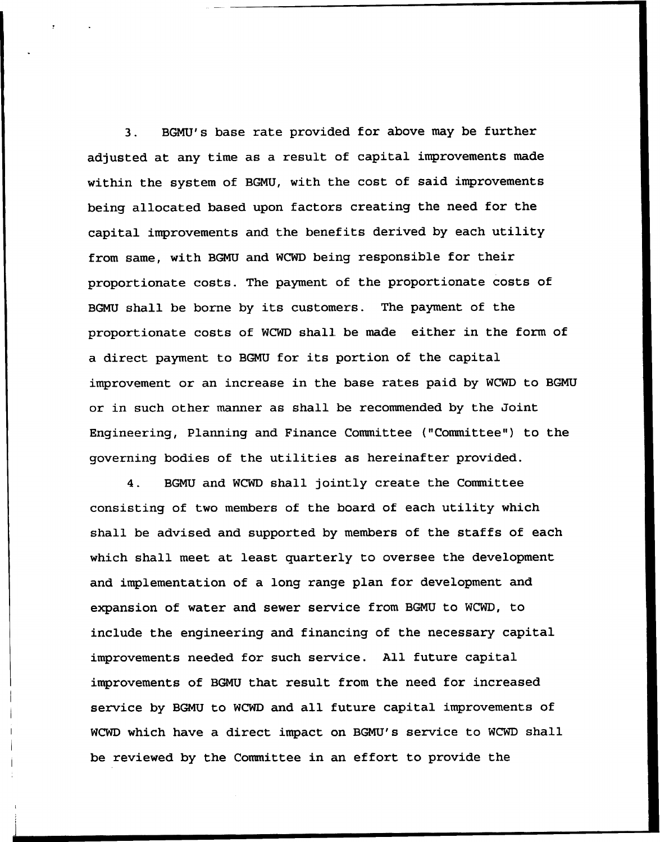3. BGNU's base rate provided for above may be further adjusted at any time as a result of capital improvements made within the system of BGNU, with the cost of said improvements being allocated based upon factors creating the need for the capital improvements and the benefits derived by each utility from same, with BGNU and WCWD being responsible for their proportionate costs. The payment of the proportionate costs of BGMU shall be borne by its customers. The payment of the proportionate costs of WCWD shall be made either in the form of a direct payment to BGMU for its portion of the capital improvement or an increase in the base rates paid by WCWD to BGMU or in such other manner as shall be recommended by the Joint Engineering, Planning and Finance Committee {"Committee") to the governing bodies of the utilities as hereinafter provided.

4. BGNU and WCWD shall jointly create the Committee consisting of two members of the board of each utility which shall be advised and supported by members of the staffs of each which shall meet at least quarterly to oversee the development and implementation of a long range plan for development and expansion of water and sewer service from BGNU to WCWD, to include the engineering and financing of the necessary capital improvements needed for such service. All future capital improvements of BGNU that result from the need for increased service by BGNU to WCWD and all future capital improvements of WCWD which have a direct impact on BGMU's service to WCWD shall be reviewed by the Committee in an effort to provide the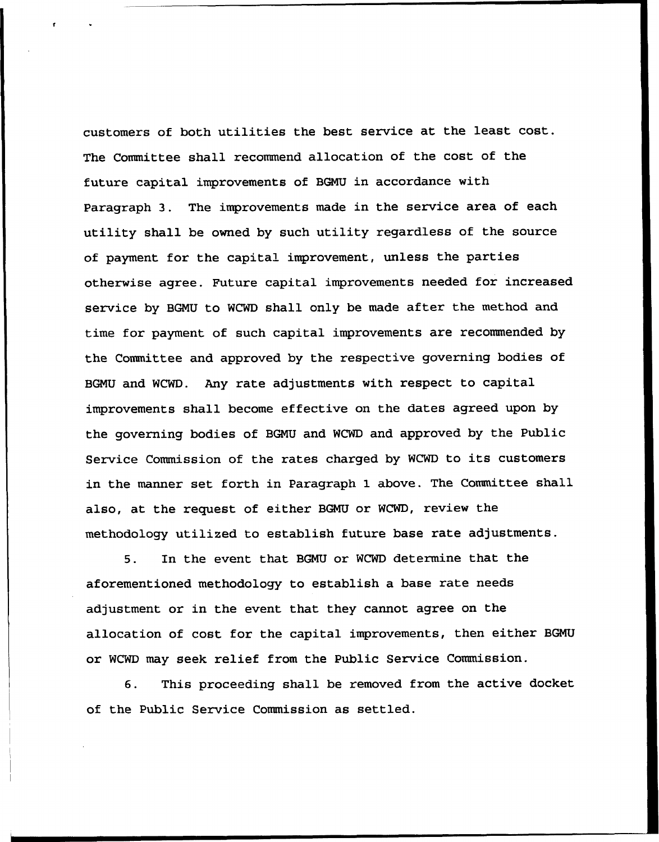customers of both utilities the best service at the least cost. The Committee shall recommend allocation of the cost of the future capital improvements of BGMU in accordance with Paragraph 3. The improvements made in the service area of each utility shall be owned by such utility regardless of the source of payment for the capital impxovement, unless the parties otherwise agree. Future capital improvements needed for increased service by BGNU to WCWD shall only be made after the method and, time for payment of such capital improvements are recommended by the Committee and approved by the respective governing bodies of BGNU and WCWD. Any rate adjustments with respect to capital improvements shall become effective on the dates agreed upon by the governing bodies of BGNU and WCWD and approved by the Public Service Commission of the rates charged by WCWD to its customers in the manner set forth in Paragraph 1 above. The Committee shall also, at the request of either BGNU or WCWD, review the methodology utilized to establish future base rate adjustments.

5. In the event that BGNU or WCWD determine that the aforementioned methodology to establish a base rate needs adjustment or in the event that they cannot agree on the allocation of cost for the capital improvements, then either BGNU or WCWD may seek relief from the Public Service Commission.

6. This proceeding shall be removed from the active docket of the Public Service Commission as settled.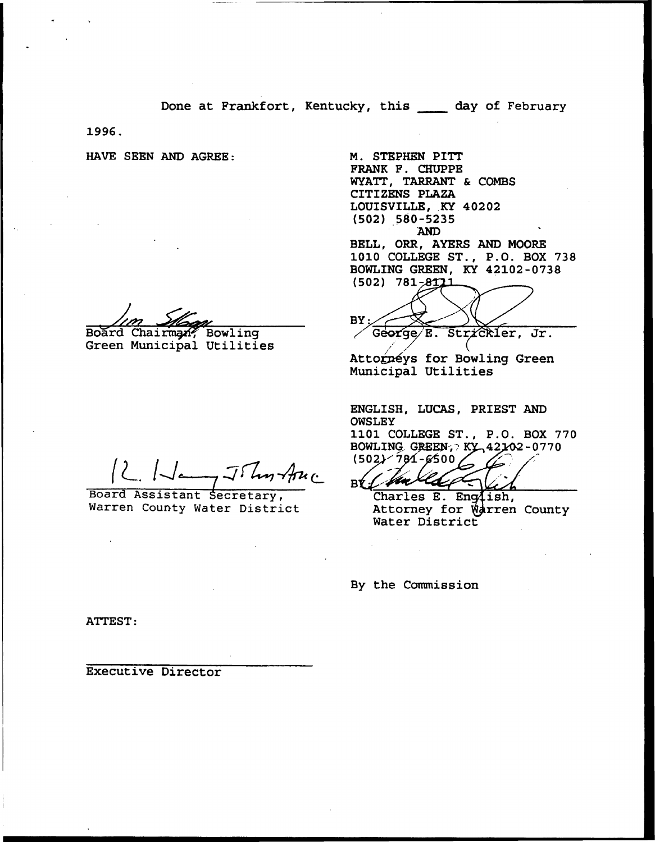Done at Frankfort, Kentucky, this \_\_\_\_ day of February

1996.

HAVE SEEN AND AGREE: M. STEPHEN PITT

Board Chairman? Bowling

Auc

Board Assistant Secretary, Warren County Water District

FRANK F. CHUPPE WYATT, TARRANT & COMBS CITIZENS PLAZA LOUISVILLE, KY 40202 (502) 580-5235 AND BELL, ORR, AYERS AND MOORE 1010 COLLEGE ST., P.O. BOX 738 BOWLING GREEN, KY 42102-0738  $(502)$  781-8111

Henry Bard Chairman, Board Chairman, Board Chairman, Board Chairman, Bowling<br>George E. Strickler, Jr.

Attorneys for Bowling Green Municipal Utilities

/

ENGLISH, LUCAS, PRIEST AND OWSLEY 1101 COLLEGE ST., P.O. BOX 770 BOWLING. GREEN-; XY 42102-0770  $(502) - 781 - 6500$ 

Charles E. English, Attorney for Warren County<br>Water District

By the Commission

ATTEST:

Executive Director